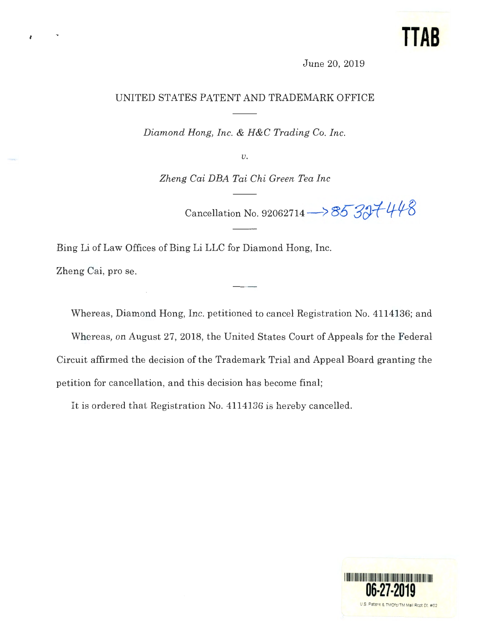## **TTAB**

June 20, 2019

## UNITED STATES PATENT AND TRADEMARK OFFICE

*Diamond Hong, Inc.* & *H&C Trading Co. Inc.* 

 $\upsilon$ .

*Zheng Cai DEA Tai Chi Green Tea Inc* 

Cancellation No. 92062714  $\rightarrow$  85 327 448

Bing Li of Law Offices of Bing Li LLC for Diamond Hong, Inc. Zheng Cai, pro se.

Whereas, Diamond Hong, Inc. petitioned to cancel Registration No. 4114136; and Whereas, on August 27, 2018, the United States Court of Appeals for the Federal Circuit affirmed the decision of the Trademark Trial and Appeal Board granting the petition for cancellation, and this decision has become final;

It is ordered that Registration No. 4114136 is hereby cancelled.